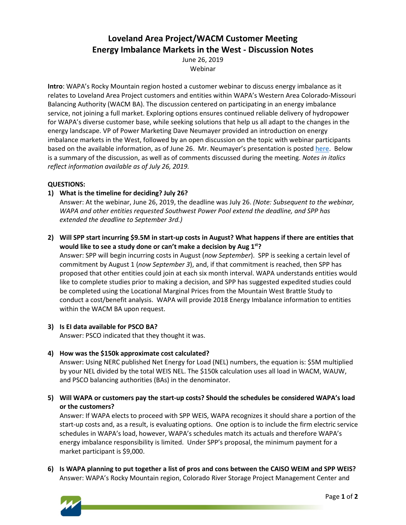# **Loveland Area Project/WACM Customer Meeting Energy Imbalance Markets in the West - Discussion Notes**

June 26, 2019 Webinar

**Intro**: WAPA's Rocky Mountain region hosted a customer webinar to discuss energy imbalance as it relates to Loveland Area Project customers and entities within WAPA's Western Area Colorado-Missouri Balancing Authority (WACM BA). The discussion centered on participating in an energy imbalance service, not joining a full market. Exploring options ensures continued reliable delivery of hydropower for WAPA's diverse customer base, while seeking solutions that help us all adapt to the changes in the energy landscape. VP of Power Marketing Dave Neumayer provided an introduction on energy imbalance markets in the West, followed by an open discussion on the topic with webinar participants based on the available information, as of June 26. Mr. Neumayer's presentation is posted [here.](https://www.wapa.gov/About/the-source/Documents/rm-Markets-customer-meeting.pdf) Below is a summary of the discussion, as well as of comments discussed during the meeting. *Notes in italics reflect information available as of July 26, 2019.*

## **QUESTIONS:**

**1) What is the timeline for deciding? July 26?**

Answer: At the webinar, June 26, 2019, the deadline was July 26. *(Note: Subsequent to the webinar, WAPA and other entities requested Southwest Power Pool extend the deadline, and SPP has extended the deadline to September 3rd.)*

**2) Will SPP start incurring \$9.5M in start-up costs in August? What happens if there are entities that would like to see a study done or can't make a decision by Aug 1st?**

Answer: SPP will begin incurring costs in August (*now September*). SPP is seeking a certain level of commitment by August 1 (*now September 3*), and, if that commitment is reached, then SPP has proposed that other entities could join at each six month interval. WAPA understands entities would like to complete studies prior to making a decision, and SPP has suggested expedited studies could be completed using the Locational Marginal Prices from the Mountain West Brattle Study to conduct a cost/benefit analysis. WAPA will provide 2018 Energy Imbalance information to entities within the WACM BA upon request.

## **3) Is EI data available for PSCO BA?**

Answer: PSCO indicated that they thought it was.

**4) How was the \$150k approximate cost calculated?**

Answer: Using NERC published Net Energy for Load (NEL) numbers, the equation is: \$5M multiplied by your NEL divided by the total WEIS NEL. The \$150k calculation uses all load in WACM, WAUW, and PSCO balancing authorities (BAs) in the denominator.

**5) Will WAPA or customers pay the start-up costs? Should the schedules be considered WAPA's load or the customers?**

Answer: If WAPA elects to proceed with SPP WEIS, WAPA recognizes it should share a portion of the start-up costs and, as a result, is evaluating options. One option is to include the firm electric service schedules in WAPA's load, however, WAPA's schedules match its actuals and therefore WAPA's energy imbalance responsibility is limited. Under SPP's proposal, the minimum payment for a market participant is \$9,000.

**6) Is WAPA planning to put together a list of pros and cons between the CAISO WEIM and SPP WEIS?** Answer: WAPA's Rocky Mountain region, Colorado River Storage Project Management Center and